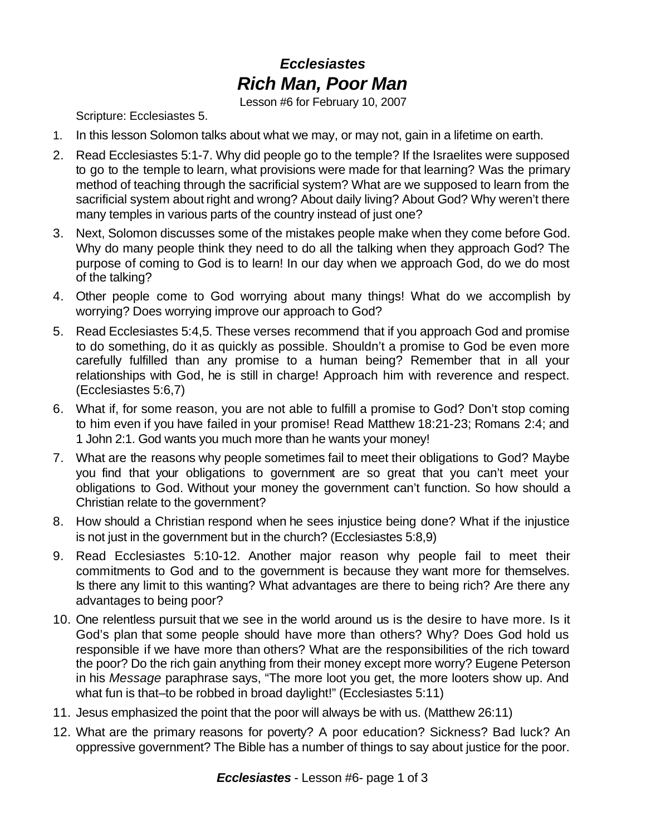## *Ecclesiastes Rich Man, Poor Man*

Lesson #6 for February 10, 2007

Scripture: Ecclesiastes 5.

- 1. In this lesson Solomon talks about what we may, or may not, gain in a lifetime on earth.
- 2. Read Ecclesiastes 5:1-7. Why did people go to the temple? If the Israelites were supposed to go to the temple to learn, what provisions were made for that learning? Was the primary method of teaching through the sacrificial system? What are we supposed to learn from the sacrificial system about right and wrong? About daily living? About God? Why weren't there many temples in various parts of the country instead of just one?
- 3. Next, Solomon discusses some of the mistakes people make when they come before God. Why do many people think they need to do all the talking when they approach God? The purpose of coming to God is to learn! In our day when we approach God, do we do most of the talking?
- 4. Other people come to God worrying about many things! What do we accomplish by worrying? Does worrying improve our approach to God?
- 5. Read Ecclesiastes 5:4,5. These verses recommend that if you approach God and promise to do something, do it as quickly as possible. Shouldn't a promise to God be even more carefully fulfilled than any promise to a human being? Remember that in all your relationships with God, he is still in charge! Approach him with reverence and respect. (Ecclesiastes 5:6,7)
- 6. What if, for some reason, you are not able to fulfill a promise to God? Don't stop coming to him even if you have failed in your promise! Read Matthew 18:21-23; Romans 2:4; and 1 John 2:1. God wants you much more than he wants your money!
- 7. What are the reasons why people sometimes fail to meet their obligations to God? Maybe you find that your obligations to government are so great that you can't meet your obligations to God. Without your money the government can't function. So how should a Christian relate to the government?
- 8. How should a Christian respond when he sees injustice being done? What if the injustice is not just in the government but in the church? (Ecclesiastes 5:8,9)
- 9. Read Ecclesiastes 5:10-12. Another major reason why people fail to meet their commitments to God and to the government is because they want more for themselves. Is there any limit to this wanting? What advantages are there to being rich? Are there any advantages to being poor?
- 10. One relentless pursuit that we see in the world around us is the desire to have more. Is it God's plan that some people should have more than others? Why? Does God hold us responsible if we have more than others? What are the responsibilities of the rich toward the poor? Do the rich gain anything from their money except more worry? Eugene Peterson in his *Message* paraphrase says, "The more loot you get, the more looters show up. And what fun is that–to be robbed in broad daylight!" (Ecclesiastes 5:11)
- 11. Jesus emphasized the point that the poor will always be with us. (Matthew 26:11)
- 12. What are the primary reasons for poverty? A poor education? Sickness? Bad luck? An oppressive government? The Bible has a number of things to say about justice for the poor.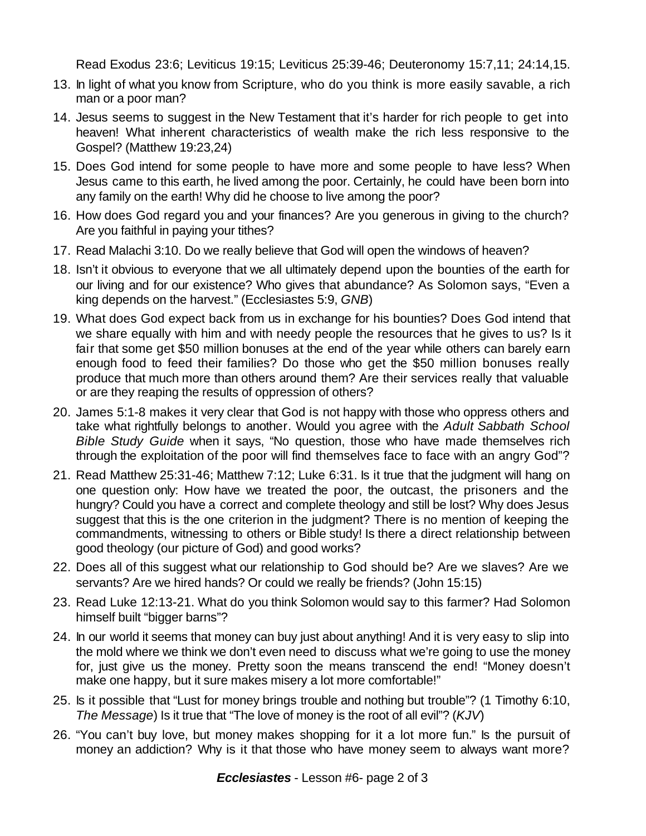Read Exodus 23:6; Leviticus 19:15; Leviticus 25:39-46; Deuteronomy 15:7,11; 24:14,15.

- 13. In light of what you know from Scripture, who do you think is more easily savable, a rich man or a poor man?
- 14. Jesus seems to suggest in the New Testament that it's harder for rich people to get into heaven! What inherent characteristics of wealth make the rich less responsive to the Gospel? (Matthew 19:23,24)
- 15. Does God intend for some people to have more and some people to have less? When Jesus came to this earth, he lived among the poor. Certainly, he could have been born into any family on the earth! Why did he choose to live among the poor?
- 16. How does God regard you and your finances? Are you generous in giving to the church? Are you faithful in paying your tithes?
- 17. Read Malachi 3:10. Do we really believe that God will open the windows of heaven?
- 18. Isn't it obvious to everyone that we all ultimately depend upon the bounties of the earth for our living and for our existence? Who gives that abundance? As Solomon says, "Even a king depends on the harvest." (Ecclesiastes 5:9, *GNB*)
- 19. What does God expect back from us in exchange for his bounties? Does God intend that we share equally with him and with needy people the resources that he gives to us? Is it fair that some get \$50 million bonuses at the end of the year while others can barely earn enough food to feed their families? Do those who get the \$50 million bonuses really produce that much more than others around them? Are their services really that valuable or are they reaping the results of oppression of others?
- 20. James 5:1-8 makes it very clear that God is not happy with those who oppress others and take what rightfully belongs to another. Would you agree with the *Adult Sabbath School Bible Study Guide* when it says, "No question, those who have made themselves rich through the exploitation of the poor will find themselves face to face with an angry God"?
- 21. Read Matthew 25:31-46; Matthew 7:12; Luke 6:31. Is it true that the judgment will hang on one question only: How have we treated the poor, the outcast, the prisoners and the hungry? Could you have a correct and complete theology and still be lost? Why does Jesus suggest that this is the one criterion in the judgment? There is no mention of keeping the commandments, witnessing to others or Bible study! Is there a direct relationship between good theology (our picture of God) and good works?
- 22. Does all of this suggest what our relationship to God should be? Are we slaves? Are we servants? Are we hired hands? Or could we really be friends? (John 15:15)
- 23. Read Luke 12:13-21. What do you think Solomon would say to this farmer? Had Solomon himself built "bigger barns"?
- 24. In our world it seems that money can buy just about anything! And it is very easy to slip into the mold where we think we don't even need to discuss what we're going to use the money for, just give us the money. Pretty soon the means transcend the end! "Money doesn't make one happy, but it sure makes misery a lot more comfortable!"
- 25. Is it possible that "Lust for money brings trouble and nothing but trouble"? (1 Timothy 6:10, *The Message*) Is it true that "The love of money is the root of all evil"? (*KJV*)
- 26. "You can't buy love, but money makes shopping for it a lot more fun." Is the pursuit of money an addiction? Why is it that those who have money seem to always want more?